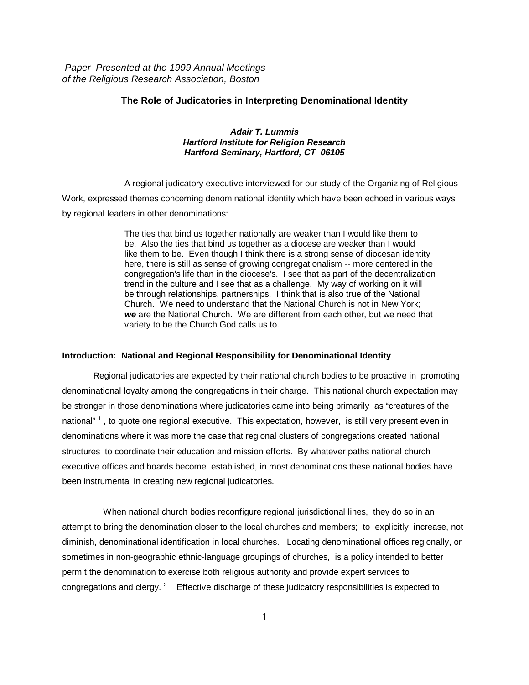*Paper Presented at the 1999 Annual Meetings of the Religious Research Association, Boston*

## **The Role of Judicatories in Interpreting Denominational Identity**

## *Adair T. Lummis Hartford Institute for Religion Research Hartford Seminary, Hartford, CT 06105*

A regional judicatory executive interviewed for our study of the Organizing of Religious Work, expressed themes concerning denominational identity which have been echoed in various ways by regional leaders in other denominations:

> The ties that bind us together nationally are weaker than I would like them to be. Also the ties that bind us together as a diocese are weaker than I would like them to be. Even though I think there is a strong sense of diocesan identity here, there is still as sense of growing congregationalism -- more centered in the congregation's life than in the diocese's. I see that as part of the decentralization trend in the culture and I see that as a challenge. My way of working on it will be through relationships, partnerships. I think that is also true of the National Church. We need to understand that the National Church is not in New York; *we* are the National Church. We are different from each other, but we need that variety to be the Church God calls us to.

## **Introduction: National and Regional Responsibility for Denominational Identity**

Regional judicatories are expected by their national church bodies to be proactive in promoting denominational loyalty among the congregations in their charge. This national church expectation may be stronger in those denominations where judicatories came into being primarily as "creatures of the national"<sup>1</sup>, to quote one regional executive. This expectation, however, is still very present even in denominations where it was more the case that regional clusters of congregations created national structures to coordinate their education and mission efforts. By whatever paths national church executive offices and boards become established, in most denominations these national bodies have been instrumental in creating new regional judicatories.

 When national church bodies reconfigure regional jurisdictional lines, they do so in an attempt to bring the denomination closer to the local churches and members; to explicitly increase, not diminish, denominational identification in local churches. Locating denominational offices regionally, or sometimes in non-geographic ethnic-language groupings of churches, is a policy intended to better permit the denomination to exercise both religious authority and provide expert services to congregations and clergy.  $2^2$  Effective discharge of these judicatory responsibilities is expected to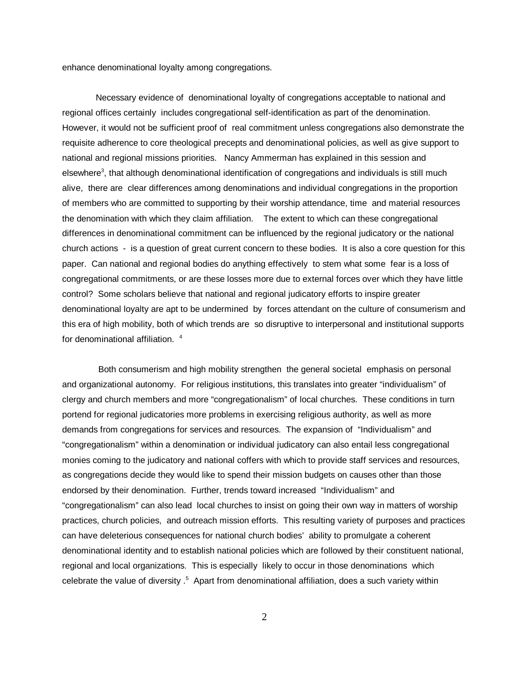enhance denominational loyalty among congregations.

 Necessary evidence of denominational loyalty of congregations acceptable to national and regional offices certainly includes congregational self-identification as part of the denomination. However, it would not be sufficient proof of real commitment unless congregations also demonstrate the requisite adherence to core theological precepts and denominational policies, as well as give support to national and regional missions priorities. Nancy Ammerman has explained in this session and elsewhere<sup>3</sup>, that although denominational identification of congregations and individuals is still much alive, there are clear differences among denominations and individual congregations in the proportion of members who are committed to supporting by their worship attendance, time and material resources the denomination with which they claim affiliation. The extent to which can these congregational differences in denominational commitment can be influenced by the regional judicatory or the national church actions - is a question of great current concern to these bodies. It is also a core question for this paper. Can national and regional bodies do anything effectively to stem what some fear is a loss of congregational commitments, or are these losses more due to external forces over which they have little control? Some scholars believe that national and regional judicatory efforts to inspire greater denominational loyalty are apt to be undermined by forces attendant on the culture of consumerism and this era of high mobility, both of which trends are so disruptive to interpersonal and institutional supports for denominational affiliation.<sup>4</sup>

 Both consumerism and high mobility strengthen the general societal emphasis on personal and organizational autonomy. For religious institutions, this translates into greater "individualism" of clergy and church members and more "congregationalism" of local churches. These conditions in turn portend for regional judicatories more problems in exercising religious authority, as well as more demands from congregations for services and resources. The expansion of "Individualism" and "congregationalism" within a denomination or individual judicatory can also entail less congregational monies coming to the judicatory and national coffers with which to provide staff services and resources, as congregations decide they would like to spend their mission budgets on causes other than those endorsed by their denomination. Further, trends toward increased "Individualism" and "congregationalism" can also lead local churches to insist on going their own way in matters of worship practices, church policies, and outreach mission efforts. This resulting variety of purposes and practices can have deleterious consequences for national church bodies' ability to promulgate a coherent denominational identity and to establish national policies which are followed by their constituent national, regional and local organizations. This is especially likely to occur in those denominations which celebrate the value of diversity .<sup>5</sup> Apart from denominational affiliation, does a such variety within

2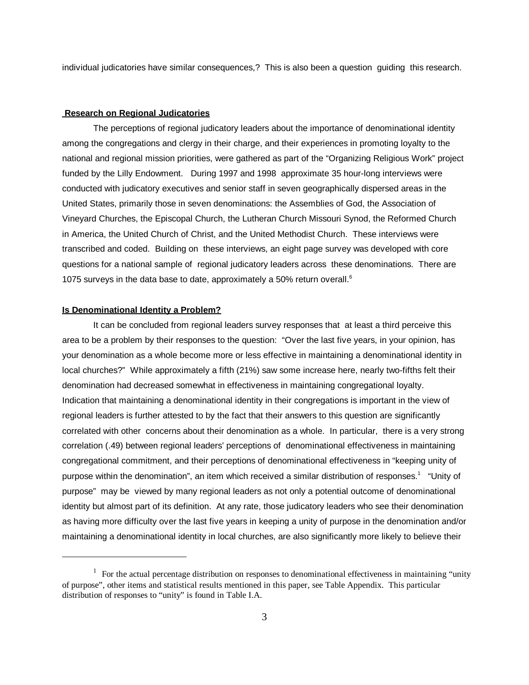individual judicatories have similar consequences,? This is also been a question guiding this research.

## **Research on Regional Judicatories**

The perceptions of regional judicatory leaders about the importance of denominational identity among the congregations and clergy in their charge, and their experiences in promoting loyalty to the national and regional mission priorities, were gathered as part of the "Organizing Religious Work" project funded by the Lilly Endowment. During 1997 and 1998 approximate 35 hour-long interviews were conducted with judicatory executives and senior staff in seven geographically dispersed areas in the United States, primarily those in seven denominations: the Assemblies of God, the Association of Vineyard Churches, the Episcopal Church, the Lutheran Church Missouri Synod, the Reformed Church in America, the United Church of Christ, and the United Methodist Church. These interviews were transcribed and coded. Building on these interviews, an eight page survey was developed with core questions for a national sample of regional judicatory leaders across these denominations. There are 1075 surveys in the data base to date, approximately a 50% return overall.<sup>6</sup>

## **Is Denominational Identity a Problem?**

It can be concluded from regional leaders survey responses that at least a third perceive this area to be a problem by their responses to the question: "Over the last five years, in your opinion, has your denomination as a whole become more or less effective in maintaining a denominational identity in local churches?" While approximately a fifth (21%) saw some increase here, nearly two-fifths felt their denomination had decreased somewhat in effectiveness in maintaining congregational loyalty. Indication that maintaining a denominational identity in their congregations is important in the view of regional leaders is further attested to by the fact that their answers to this question are significantly correlated with other concerns about their denomination as a whole. In particular, there is a very strong correlation (.49) between regional leaders' perceptions of denominational effectiveness in maintaining congregational commitment, and their perceptions of denominational effectiveness in "keeping unity of purpose within the denomination", an item which received a similar distribution of responses.<sup>1</sup> "Unity of purpose" may be viewed by many regional leaders as not only a potential outcome of denominational identity but almost part of its definition. At any rate, those judicatory leaders who see their denomination as having more difficulty over the last five years in keeping a unity of purpose in the denomination and/or maintaining a denominational identity in local churches, are also significantly more likely to believe their

 $\frac{1}{1}$  For the actual percentage distribution on responses to denominational effectiveness in maintaining "unity" of purpose", other items and statistical results mentioned in this paper, see Table Appendix. This particular distribution of responses to "unity" is found in Table I.A.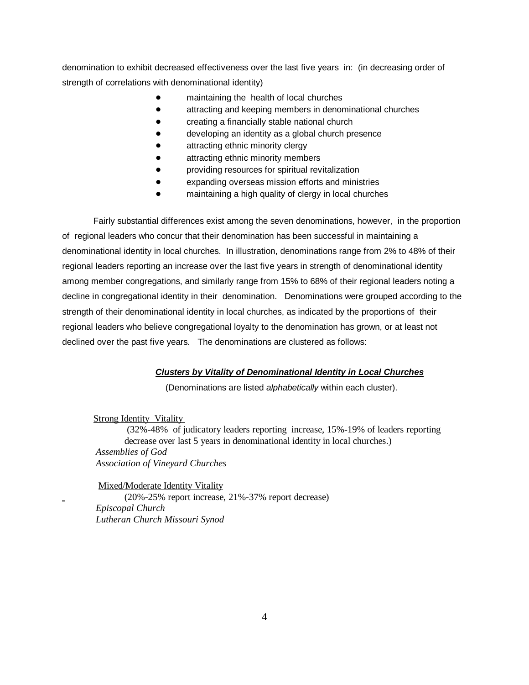denomination to exhibit decreased effectiveness over the last five years in: (in decreasing order of strength of correlations with denominational identity)

- maintaining the health of local churches
- attracting and keeping members in denominational churches
- creating a financially stable national church
- developing an identity as a global church presence
- attracting ethnic minority clergy
- attracting ethnic minority members
- providing resources for spiritual revitalization
- expanding overseas mission efforts and ministries
- maintaining a high quality of clergy in local churches

Fairly substantial differences exist among the seven denominations, however, in the proportion of regional leaders who concur that their denomination has been successful in maintaining a denominational identity in local churches. In illustration, denominations range from 2% to 48% of their regional leaders reporting an increase over the last five years in strength of denominational identity among member congregations, and similarly range from 15% to 68% of their regional leaders noting a decline in congregational identity in their denomination. Denominations were grouped according to the strength of their denominational identity in local churches, as indicated by the proportions of their regional leaders who believe congregational loyalty to the denomination has grown, or at least not declined over the past five years. The denominations are clustered as follows:

## *Clusters by Vitality of Denominational Identity in Local Churches*

(Denominations are listed *alphabetically* within each cluster).

**Strong Identity Vitality**  (32%-48% of judicatory leaders reporting increase, 15%-19% of leaders reporting decrease over last 5 years in denominational identity in local churches.) *Assemblies of God Association of Vineyard Churches*

 Mixed/Moderate Identity Vitality (20%-25% report increase, 21%-37% report decrease)  *Episcopal Church Lutheran Church Missouri Synod*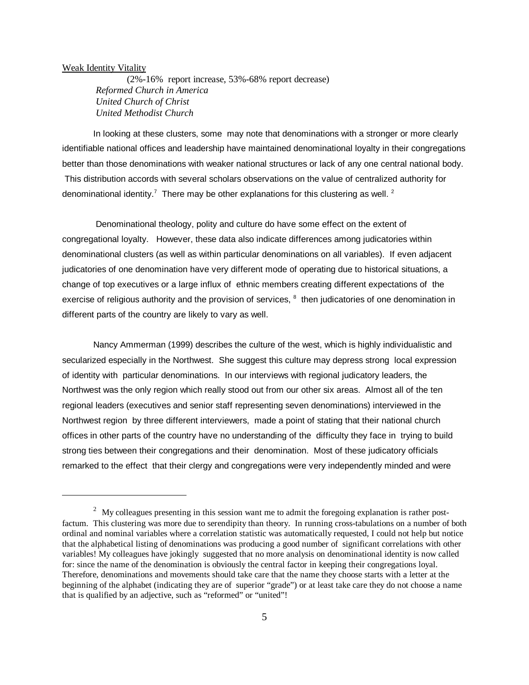#### Weak Identity Vitality

 (2%-16% report increase, 53%-68% report decrease)  *Reformed Church in America United Church of Christ United Methodist Church*

In looking at these clusters, some may note that denominations with a stronger or more clearly identifiable national offices and leadership have maintained denominational loyalty in their congregations better than those denominations with weaker national structures or lack of any one central national body. This distribution accords with several scholars observations on the value of centralized authority for denominational identity.<sup>7</sup> There may be other explanations for this clustering as well. <sup>2</sup>

 Denominational theology, polity and culture do have some effect on the extent of congregational loyalty. However, these data also indicate differences among judicatories within denominational clusters (as well as within particular denominations on all variables). If even adjacent judicatories of one denomination have very different mode of operating due to historical situations, a change of top executives or a large influx of ethnic members creating different expectations of the exercise of religious authority and the provision of services, <sup>8</sup> then judicatories of one denomination in different parts of the country are likely to vary as well.

Nancy Ammerman (1999) describes the culture of the west, which is highly individualistic and secularized especially in the Northwest. She suggest this culture may depress strong local expression of identity with particular denominations. In our interviews with regional judicatory leaders, the Northwest was the only region which really stood out from our other six areas. Almost all of the ten regional leaders (executives and senior staff representing seven denominations) interviewed in the Northwest region by three different interviewers, made a point of stating that their national church offices in other parts of the country have no understanding of the difficulty they face in trying to build strong ties between their congregations and their denomination. Most of these judicatory officials remarked to the effect that their clergy and congregations were very independently minded and were

 $\frac{2}{3}$  My colleagues presenting in this session want me to admit the foregoing explanation is rather postfactum. This clustering was more due to serendipity than theory. In running cross-tabulations on a number of both ordinal and nominal variables where a correlation statistic was automatically requested, I could not help but notice that the alphabetical listing of denominations was producing a good number of significant correlations with other variables! My colleagues have jokingly suggested that no more analysis on denominational identity is now called for: since the name of the denomination is obviously the central factor in keeping their congregations loyal. Therefore, denominations and movements should take care that the name they choose starts with a letter at the beginning of the alphabet (indicating they are of superior "grade") or at least take care they do not choose a name that is qualified by an adjective, such as "reformed" or "united"!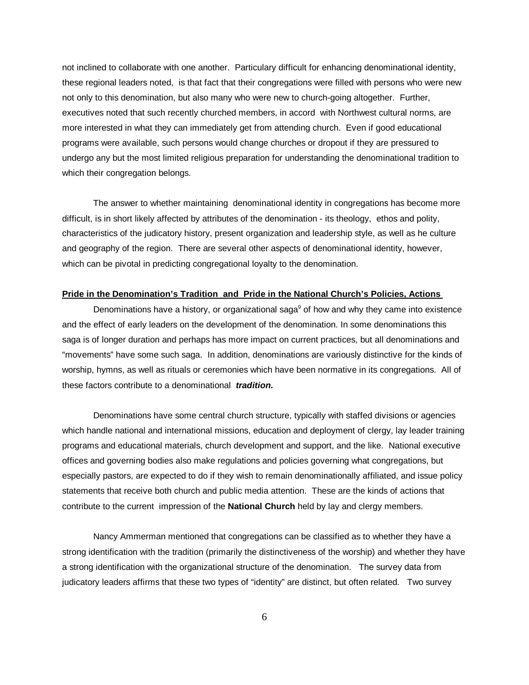not inclined to collaborate with one another. Particulary difficult for enhancing denominational identity, these regional leaders noted, is that fact that their congregations were filled with persons who were new not only to this denomination, but also many who were new to church-going altogether. Further, executives noted that such recently churched members, in accord with Northwest cultural norms, are more interested in what they can immediately get from attending church. Even if good educational programs were available, such persons would change churches or dropout if they are pressured to undergo any but the most limited religious preparation for understanding the denominational tradition to which their congregation belongs.

The answer to whether maintaining denominational identity in congregations has become more difficult, is in short likely affected by attributes of the denomination - its theology, ethos and polity, characteristics of the judicatory history, present organization and leadership style, as well as he culture and geography of the region. There are several other aspects of denominational identity, however, which can be pivotal in predicting congregational loyalty to the denomination.

#### **Pride in the Denomination's Tradition and Pride in the National Church's Policies, Actions**

Denominations have a history, or organizational saga<sup>9</sup> of how and why they came into existence and the effect of early leaders on the development of the denomination. In some denominations this saga is of longer duration and perhaps has more impact on current practices, but all denominations and "movements" have some such saga. In addition, denominations are variously distinctive for the kinds of worship, hymns, as well as rituals or ceremonies which have been normative in its congregations. All of these factors contribute to a denominational *tradition.* 

Denominations have some central church structure, typically with staffed divisions or agencies which handle national and international missions, education and deployment of clergy, lay leader training programs and educational materials, church development and support, and the like. National executive offices and governing bodies also make regulations and policies governing what congregations, but especially pastors, are expected to do if they wish to remain denominationally affiliated, and issue policy statements that receive both church and public media attention. These are the kinds of actions that contribute to the current impression of the **National Church** held by lay and clergy members.

Nancy Ammerman mentioned that congregations can be classified as to whether they have a strong identification with the tradition (primarily the distinctiveness of the worship) and whether they have a strong identification with the organizational structure of the denomination. The survey data from judicatory leaders affirms that these two types of "identity" are distinct, but often related. Two survey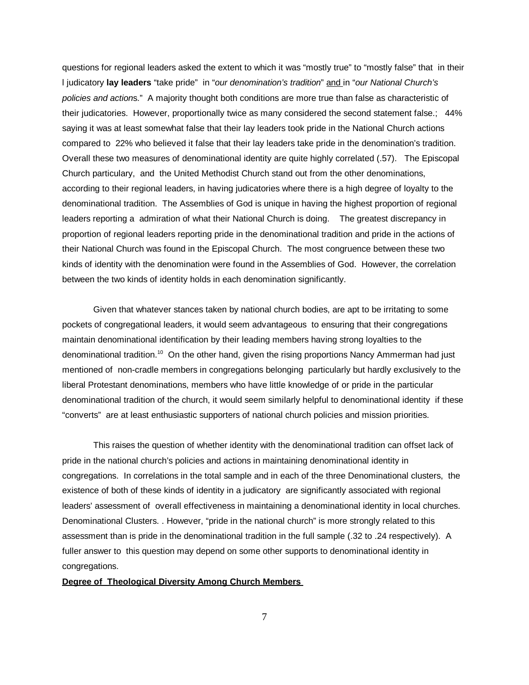questions for regional leaders asked the extent to which it was "mostly true" to "mostly false" that in their l judicatory **lay leaders** "take pride" in "*our denomination's tradition*" and in "*our National Church's policies and action*s." A majority thought both conditions are more true than false as characteristic of their judicatories. However, proportionally twice as many considered the second statement false.; 44% saying it was at least somewhat false that their lay leaders took pride in the National Church actions compared to 22% who believed it false that their lay leaders take pride in the denomination's tradition. Overall these two measures of denominational identity are quite highly correlated (.57). The Episcopal Church particulary, and the United Methodist Church stand out from the other denominations, according to their regional leaders, in having judicatories where there is a high degree of loyalty to the denominational tradition. The Assemblies of God is unique in having the highest proportion of regional leaders reporting a admiration of what their National Church is doing. The greatest discrepancy in proportion of regional leaders reporting pride in the denominational tradition and pride in the actions of their National Church was found in the Episcopal Church. The most congruence between these two kinds of identity with the denomination were found in the Assemblies of God. However, the correlation between the two kinds of identity holds in each denomination significantly.

Given that whatever stances taken by national church bodies, are apt to be irritating to some pockets of congregational leaders, it would seem advantageous to ensuring that their congregations maintain denominational identification by their leading members having strong loyalties to the denominational tradition.<sup>10</sup> On the other hand, given the rising proportions Nancy Ammerman had just mentioned of non-cradle members in congregations belonging particularly but hardly exclusively to the liberal Protestant denominations, members who have little knowledge of or pride in the particular denominational tradition of the church, it would seem similarly helpful to denominational identity if these "converts" are at least enthusiastic supporters of national church policies and mission priorities.

This raises the question of whether identity with the denominational tradition can offset lack of pride in the national church's policies and actions in maintaining denominational identity in congregations. In correlations in the total sample and in each of the three Denominational clusters, the existence of both of these kinds of identity in a judicatory are significantly associated with regional leaders' assessment of overall effectiveness in maintaining a denominational identity in local churches. Denominational Clusters. . However, "pride in the national church" is more strongly related to this assessment than is pride in the denominational tradition in the full sample (.32 to .24 respectively). A fuller answer to this question may depend on some other supports to denominational identity in congregations.

## **Degree of Theological Diversity Among Church Members**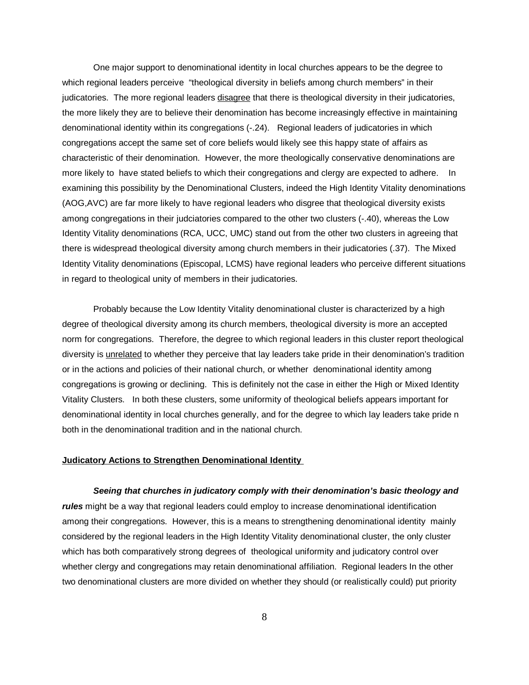One major support to denominational identity in local churches appears to be the degree to which regional leaders perceive "theological diversity in beliefs among church members" in their judicatories. The more regional leaders disagree that there is theological diversity in their judicatories, the more likely they are to believe their denomination has become increasingly effective in maintaining denominational identity within its congregations (-.24). Regional leaders of judicatories in which congregations accept the same set of core beliefs would likely see this happy state of affairs as characteristic of their denomination. However, the more theologically conservative denominations are more likely to have stated beliefs to which their congregations and clergy are expected to adhere. In examining this possibility by the Denominational Clusters, indeed the High Identity Vitality denominations (AOG,AVC) are far more likely to have regional leaders who disgree that theological diversity exists among congregations in their judciatories compared to the other two clusters (-.40), whereas the Low Identity Vitality denominations (RCA, UCC, UMC) stand out from the other two clusters in agreeing that there is widespread theological diversity among church members in their judicatories (.37). The Mixed Identity Vitality denominations (Episcopal, LCMS) have regional leaders who perceive different situations in regard to theological unity of members in their judicatories.

Probably because the Low Identity Vitality denominational cluster is characterized by a high degree of theological diversity among its church members, theological diversity is more an accepted norm for congregations. Therefore, the degree to which regional leaders in this cluster report theological diversity is unrelated to whether they perceive that lay leaders take pride in their denomination's tradition or in the actions and policies of their national church, or whether denominational identity among congregations is growing or declining. This is definitely not the case in either the High or Mixed Identity Vitality Clusters. In both these clusters, some uniformity of theological beliefs appears important for denominational identity in local churches generally, and for the degree to which lay leaders take pride n both in the denominational tradition and in the national church.

## **Judicatory Actions to Strengthen Denominational Identity**

#### *Seeing that churches in judicatory comply with their denomination's basic theology and*

*rules* might be a way that regional leaders could employ to increase denominational identification among their congregations. However, this is a means to strengthening denominational identity mainly considered by the regional leaders in the High Identity Vitality denominational cluster, the only cluster which has both comparatively strong degrees of theological uniformity and judicatory control over whether clergy and congregations may retain denominational affiliation. Regional leaders In the other two denominational clusters are more divided on whether they should (or realistically could) put priority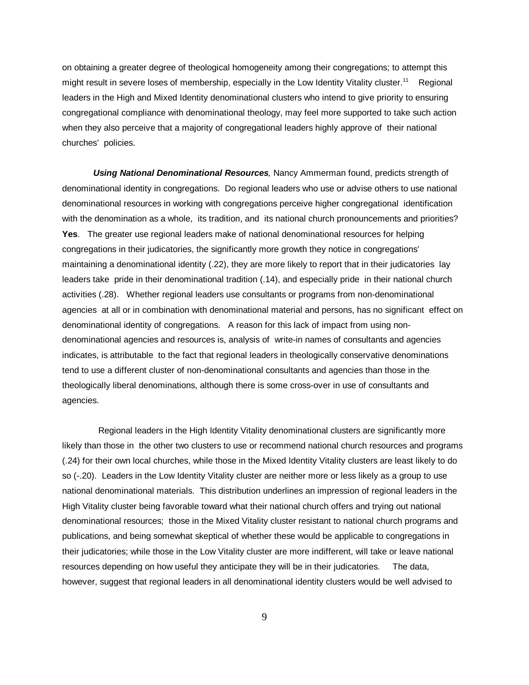on obtaining a greater degree of theological homogeneity among their congregations; to attempt this might result in severe loses of membership, especially in the Low Identity Vitality cluster.<sup>11</sup> Regional leaders in the High and Mixed Identity denominational clusters who intend to give priority to ensuring congregational compliance with denominational theology, may feel more supported to take such action when they also perceive that a majority of congregational leaders highly approve of their national churches' policies.

*Using National Denominational Resources,* Nancy Ammerman found, predicts strength of denominational identity in congregations. Do regional leaders who use or advise others to use national denominational resources in working with congregations perceive higher congregational identification with the denomination as a whole, its tradition, and its national church pronouncements and priorities? **Yes**. The greater use regional leaders make of national denominational resources for helping congregations in their judicatories, the significantly more growth they notice in congregations' maintaining a denominational identity (.22), they are more likely to report that in their judicatories lay leaders take pride in their denominational tradition (.14), and especially pride in their national church activities (.28). Whether regional leaders use consultants or programs from non-denominational agencies at all or in combination with denominational material and persons, has no significant effect on denominational identity of congregations. A reason for this lack of impact from using nondenominational agencies and resources is, analysis of write-in names of consultants and agencies indicates, is attributable to the fact that regional leaders in theologically conservative denominations tend to use a different cluster of non-denominational consultants and agencies than those in the theologically liberal denominations, although there is some cross-over in use of consultants and agencies.

 Regional leaders in the High Identity Vitality denominational clusters are significantly more likely than those in the other two clusters to use or recommend national church resources and programs (.24) for their own local churches, while those in the Mixed Identity Vitality clusters are least likely to do so (-.20). Leaders in the Low Identity Vitality cluster are neither more or less likely as a group to use national denominational materials. This distribution underlines an impression of regional leaders in the High Vitality cluster being favorable toward what their national church offers and trying out national denominational resources; those in the Mixed Vitality cluster resistant to national church programs and publications, and being somewhat skeptical of whether these would be applicable to congregations in their judicatories; while those in the Low Vitality cluster are more indifferent, will take or leave national resources depending on how useful they anticipate they will be in their judicatories. The data, however, suggest that regional leaders in all denominational identity clusters would be well advised to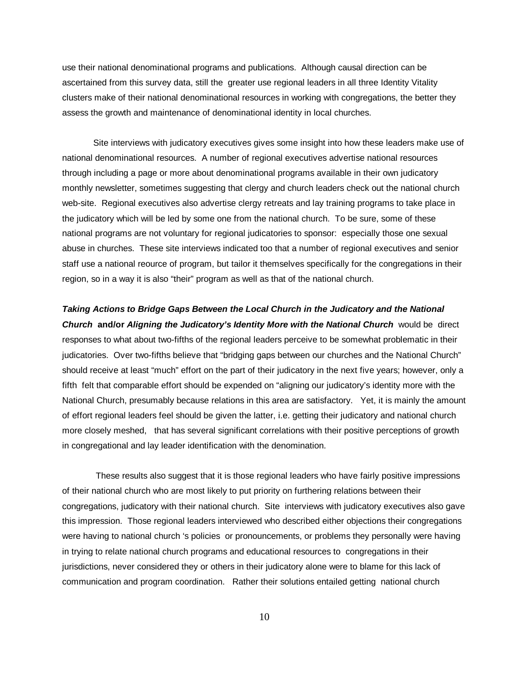use their national denominational programs and publications. Although causal direction can be ascertained from this survey data, still the greater use regional leaders in all three Identity Vitality clusters make of their national denominational resources in working with congregations, the better they assess the growth and maintenance of denominational identity in local churches.

Site interviews with judicatory executives gives some insight into how these leaders make use of national denominational resources. A number of regional executives advertise national resources through including a page or more about denominational programs available in their own judicatory monthly newsletter, sometimes suggesting that clergy and church leaders check out the national church web-site. Regional executives also advertise clergy retreats and lay training programs to take place in the judicatory which will be led by some one from the national church. To be sure, some of these national programs are not voluntary for regional judicatories to sponsor: especially those one sexual abuse in churches. These site interviews indicated too that a number of regional executives and senior staff use a national reource of program, but tailor it themselves specifically for the congregations in their region, so in a way it is also "their" program as well as that of the national church.

*Taking Actions to Bridge Gaps Between the Local Church in the Judicatory and the National Church* **and/or** *Aligning the Judicatory's Identity More with the National Church* would be direct responses to what about two-fifths of the regional leaders perceive to be somewhat problematic in their judicatories. Over two-fifths believe that "bridging gaps between our churches and the National Church" should receive at least "much" effort on the part of their judicatory in the next five years; however, only a fifth felt that comparable effort should be expended on "aligning our judicatory's identity more with the National Church, presumably because relations in this area are satisfactory. Yet, it is mainly the amount of effort regional leaders feel should be given the latter, i.e. getting their judicatory and national church more closely meshed, that has several significant correlations with their positive perceptions of growth in congregational and lay leader identification with the denomination.

 These results also suggest that it is those regional leaders who have fairly positive impressions of their national church who are most likely to put priority on furthering relations between their congregations, judicatory with their national church. Site interviews with judicatory executives also gave this impression. Those regional leaders interviewed who described either objections their congregations were having to national church 's policies or pronouncements, or problems they personally were having in trying to relate national church programs and educational resources to congregations in their jurisdictions, never considered they or others in their judicatory alone were to blame for this lack of communication and program coordination. Rather their solutions entailed getting national church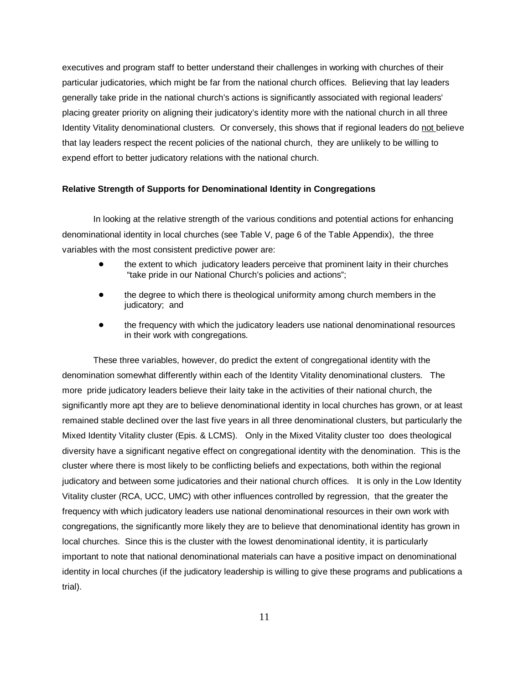executives and program staff to better understand their challenges in working with churches of their particular judicatories, which might be far from the national church offices. Believing that lay leaders generally take pride in the national church's actions is significantly associated with regional leaders' placing greater priority on aligning their judicatory's identity more with the national church in all three Identity Vitality denominational clusters. Or conversely, this shows that if regional leaders do not believe that lay leaders respect the recent policies of the national church, they are unlikely to be willing to expend effort to better judicatory relations with the national church.

## **Relative Strength of Supports for Denominational Identity in Congregations**

In looking at the relative strength of the various conditions and potential actions for enhancing denominational identity in local churches (see Table V, page 6 of the Table Appendix), the three variables with the most consistent predictive power are:

- the extent to which judicatory leaders perceive that prominent laity in their churches "take pride in our National Church's policies and actions";
- the degree to which there is theological uniformity among church members in the judicatory; and
- the frequency with which the judicatory leaders use national denominational resources in their work with congregations.

These three variables, however, do predict the extent of congregational identity with the denomination somewhat differently within each of the Identity Vitality denominational clusters. The more pride judicatory leaders believe their laity take in the activities of their national church, the significantly more apt they are to believe denominational identity in local churches has grown, or at least remained stable declined over the last five years in all three denominational clusters, but particularly the Mixed Identity Vitality cluster (Epis. & LCMS). Only in the Mixed Vitality cluster too does theological diversity have a significant negative effect on congregational identity with the denomination. This is the cluster where there is most likely to be conflicting beliefs and expectations, both within the regional judicatory and between some judicatories and their national church offices. It is only in the Low Identity Vitality cluster (RCA, UCC, UMC) with other influences controlled by regression, that the greater the frequency with which judicatory leaders use national denominational resources in their own work with congregations, the significantly more likely they are to believe that denominational identity has grown in local churches. Since this is the cluster with the lowest denominational identity, it is particularly important to note that national denominational materials can have a positive impact on denominational identity in local churches (if the judicatory leadership is willing to give these programs and publications a trial).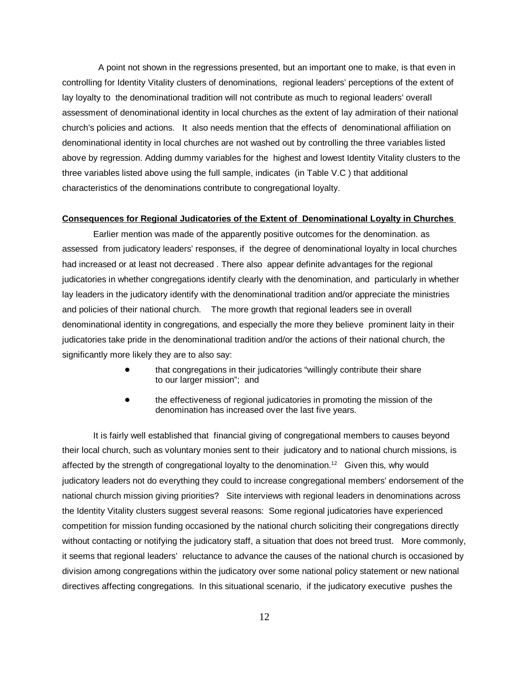A point not shown in the regressions presented, but an important one to make, is that even in controlling for Identity Vitality clusters of denominations, regional leaders' perceptions of the extent of lay loyalty to the denominational tradition will not contribute as much to regional leaders' overall assessment of denominational identity in local churches as the extent of lay admiration of their national church's policies and actions. It also needs mention that the effects of denominational affiliation on denominational identity in local churches are not washed out by controlling the three variables listed above by regression. Adding dummy variables for the highest and lowest Identity Vitality clusters to the three variables listed above using the full sample, indicates (in Table V.C ) that additional characteristics of the denominations contribute to congregational loyalty.

## **Consequences for Regional Judicatories of the Extent of Denominational Loyalty in Churches**

Earlier mention was made of the apparently positive outcomes for the denomination. as assessed from judicatory leaders' responses, if the degree of denominational loyalty in local churches had increased or at least not decreased . There also appear definite advantages for the regional judicatories in whether congregations identify clearly with the denomination, and particularly in whether lay leaders in the judicatory identify with the denominational tradition and/or appreciate the ministries and policies of their national church. The more growth that regional leaders see in overall denominational identity in congregations, and especially the more they believe prominent laity in their judicatories take pride in the denominational tradition and/or the actions of their national church, the significantly more likely they are to also say:

- that congregations in their judicatories "willingly contribute their share to our larger mission"; and
- the effectiveness of regional judicatories in promoting the mission of the denomination has increased over the last five years.

It is fairly well established that financial giving of congregational members to causes beyond their local church, such as voluntary monies sent to their judicatory and to national church missions, is affected by the strength of congregational loyalty to the denomination.<sup>12</sup> Given this, why would judicatory leaders not do everything they could to increase congregational members' endorsement of the national church mission giving priorities? Site interviews with regional leaders in denominations across the Identity Vitality clusters suggest several reasons: Some regional judicatories have experienced competition for mission funding occasioned by the national church soliciting their congregations directly without contacting or notifying the judicatory staff, a situation that does not breed trust. More commonly, it seems that regional leaders' reluctance to advance the causes of the national church is occasioned by division among congregations within the judicatory over some national policy statement or new national directives affecting congregations. In this situational scenario, if the judicatory executive pushes the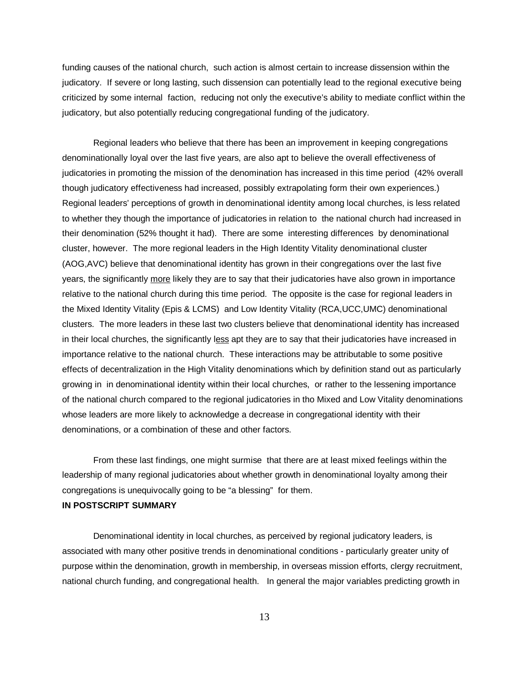funding causes of the national church, such action is almost certain to increase dissension within the judicatory. If severe or long lasting, such dissension can potentially lead to the regional executive being criticized by some internal faction, reducing not only the executive's ability to mediate conflict within the judicatory, but also potentially reducing congregational funding of the judicatory.

Regional leaders who believe that there has been an improvement in keeping congregations denominationally loyal over the last five years, are also apt to believe the overall effectiveness of judicatories in promoting the mission of the denomination has increased in this time period (42% overall though judicatory effectiveness had increased, possibly extrapolating form their own experiences.) Regional leaders' perceptions of growth in denominational identity among local churches, is less related to whether they though the importance of judicatories in relation to the national church had increased in their denomination (52% thought it had). There are some interesting differences by denominational cluster, however. The more regional leaders in the High Identity Vitality denominational cluster (AOG,AVC) believe that denominational identity has grown in their congregations over the last five years, the significantly more likely they are to say that their judicatories have also grown in importance relative to the national church during this time period. The opposite is the case for regional leaders in the Mixed Identity Vitality (Epis & LCMS) and Low Identity Vitality (RCA,UCC,UMC) denominational clusters. The more leaders in these last two clusters believe that denominational identity has increased in their local churches, the significantly less apt they are to say that their judicatories have increased in importance relative to the national church. These interactions may be attributable to some positive effects of decentralization in the High Vitality denominations which by definition stand out as particularly growing in in denominational identity within their local churches, or rather to the lessening importance of the national church compared to the regional judicatories in tho Mixed and Low Vitality denominations whose leaders are more likely to acknowledge a decrease in congregational identity with their denominations, or a combination of these and other factors.

From these last findings, one might surmise that there are at least mixed feelings within the leadership of many regional judicatories about whether growth in denominational loyalty among their congregations is unequivocally going to be "a blessing" for them.

## **IN POSTSCRIPT SUMMARY**

Denominational identity in local churches, as perceived by regional judicatory leaders, is associated with many other positive trends in denominational conditions - particularly greater unity of purpose within the denomination, growth in membership, in overseas mission efforts, clergy recruitment, national church funding, and congregational health. In general the major variables predicting growth in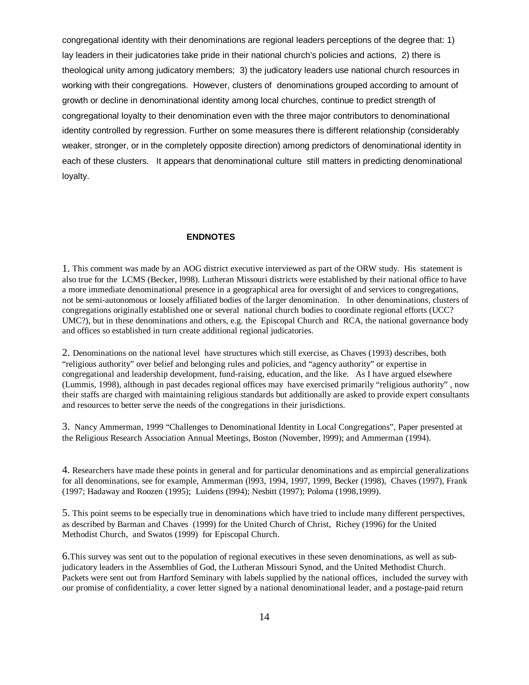congregational identity with their denominations are regional leaders perceptions of the degree that: 1) lay leaders in their judicatories take pride in their national church's policies and actions, 2) there is theological unity among judicatory members; 3) the judicatory leaders use national church resources in working with their congregations. However, clusters of denominations grouped according to amount of growth or decline in denominational identity among local churches, continue to predict strength of congregational loyalty to their denomination even with the three major contributors to denominational identity controlled by regression. Further on some measures there is different relationship (considerably weaker, stronger, or in the completely opposite direction) among predictors of denominational identity in each of these clusters. It appears that denominational culture still matters in predicting denominational loyalty.

## **ENDNOTES**

1. This comment was made by an AOG district executive interviewed as part of the ORW study. His statement is also true for the LCMS (Becker, l998). Lutheran Missouri districts were established by their national office to have a more immediate denominational presence in a geographical area for oversight of and services to congregations, not be semi-autonomous or loosely affiliated bodies of the larger denomination. In other denominations, clusters of congregations originally established one or several national church bodies to coordinate regional efforts (UCC? UMC?), but in these denominations and others, e.g. the Episcopal Church and RCA, the national governance body and offices so established in turn create additional regional judicatories.

2. Denominations on the national level have structures which still exercise, as Chaves (1993) describes, both "religious authority" over belief and belonging rules and policies, and "agency authority" or expertise in congregational and leadership development, fund-raising, education, and the like. As I have argued elsewhere (Lummis, 1998), although in past decades regional offices may have exercised primarily "religious authority" , now their staffs are charged with maintaining religious standards but additionally are asked to provide expert consultants and resources to better serve the needs of the congregations in their jurisdictions.

3. Nancy Ammerman, 1999 "Challenges to Denominational Identity in Local Congregations", Paper presented at the Religious Research Association Annual Meetings, Boston (November, l999); and Ammerman (1994).

4. Researchers have made these points in general and for particular denominations and as empircial generalizations for all denominations, see for example, Ammerman (l993, 1994, 1997, 1999, Becker (1998), Chaves (1997), Frank (1997; Hadaway and Roozen (1995); Luidens (l994); Nesbitt (1997); Poloma (1998,1999).

5. This point seems to be especially true in denominations which have tried to include many different perspectives, as described by Barman and Chaves (1999) for the United Church of Christ, Richey (1996) for the United Methodist Church, and Swatos (1999) for Episcopal Church.

6.This survey was sent out to the population of regional executives in these seven denominations, as well as subjudicatory leaders in the Assemblies of God, the Lutheran Missouri Synod, and the United Methodist Church. Packets were sent out from Hartford Seminary with labels supplied by the national offices, included the survey with our promise of confidentiality, a cover letter signed by a national denominational leader, and a postage-paid return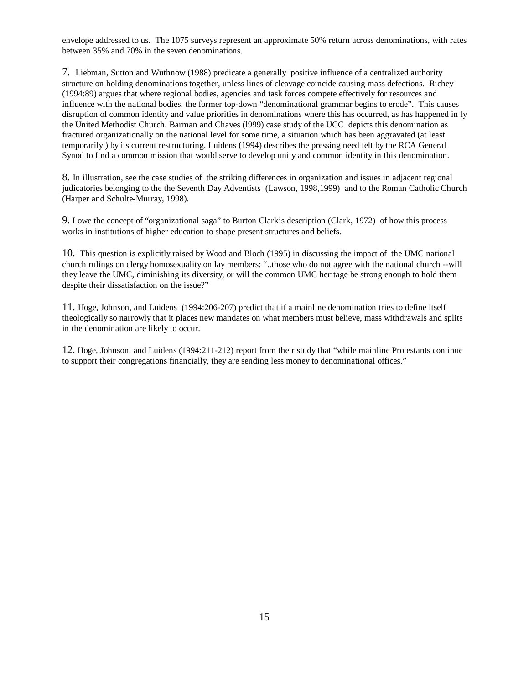envelope addressed to us. The 1075 surveys represent an approximate 50% return across denominations, with rates between 35% and 70% in the seven denominations.

7. Liebman, Sutton and Wuthnow (1988) predicate a generally positive influence of a centralized authority structure on holding denominations together, unless lines of cleavage coincide causing mass defections. Richey (1994:89) argues that where regional bodies, agencies and task forces compete effectively for resources and influence with the national bodies, the former top-down "denominational grammar begins to erode". This causes disruption of common identity and value priorities in denominations where this has occurred, as has happened in ly the United Methodist Church. Barman and Chaves (l999) case study of the UCC depicts this denomination as fractured organizationally on the national level for some time, a situation which has been aggravated (at least temporarily ) by its current restructuring. Luidens (1994) describes the pressing need felt by the RCA General Synod to find a common mission that would serve to develop unity and common identity in this denomination.

8. In illustration, see the case studies of the striking differences in organization and issues in adjacent regional judicatories belonging to the the Seventh Day Adventists (Lawson, 1998,1999) and to the Roman Catholic Church (Harper and Schulte-Murray, 1998).

9. I owe the concept of "organizational saga" to Burton Clark's description (Clark, 1972) of how this process works in institutions of higher education to shape present structures and beliefs.

10. This question is explicitly raised by Wood and Bloch (1995) in discussing the impact of the UMC national church rulings on clergy homosexuality on lay members: "..those who do not agree with the national church --will they leave the UMC, diminishing its diversity, or will the common UMC heritage be strong enough to hold them despite their dissatisfaction on the issue?"

11. Hoge, Johnson, and Luidens (1994:206-207) predict that if a mainline denomination tries to define itself theologically so narrowly that it places new mandates on what members must believe, mass withdrawals and splits in the denomination are likely to occur.

12. Hoge, Johnson, and Luidens (1994:211-212) report from their study that "while mainline Protestants continue to support their congregations financially, they are sending less money to denominational offices."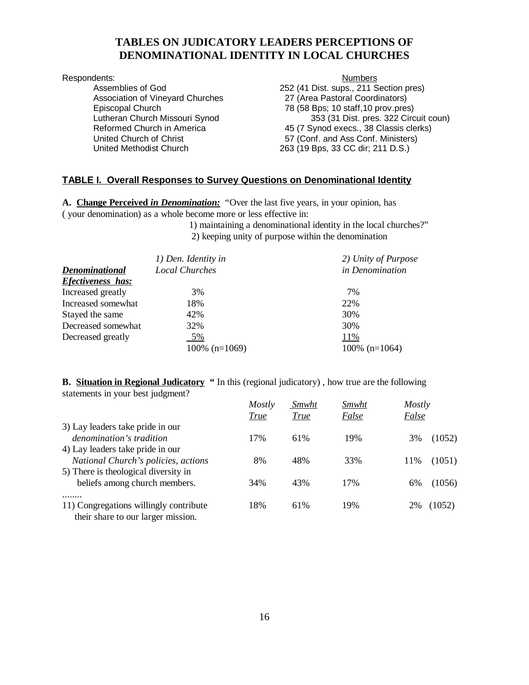## **TABLES ON JUDICATORY LEADERS PERCEPTIONS OF DENOMINATIONAL IDENTITY IN LOCAL CHURCHES**

Association of Vineyard Churches 27 (Area Pastoral Coordinators) United Methodist Church 263 (19 Bps, 33 CC dir; 211 D.S.)

Respondents: Numbers<br>
Assemblies of God
252 (41 Dist. sups., 211 S 252 (41 Dist. sups., 211 Section pres) Episcopal Church 78 (58 Bps; 10 staff,10 prov.pres) Lutheran Church Missouri Synod 353 (31 Dist. pres. 322 Circuit coun) Reformed Church in America<br>
United Church of Christ<br>
257 (Conf. and Ass Conf. Ministers)<br>
257 (Conf. and Ass Conf. Ministers) 57 (Conf. and Ass Conf. Ministers)

## **TABLE I. Overall Responses to Survey Questions on Denominational Identity**

**A. Change Perceived** *in Denomination:* "Over the last five years, in your opinion, has ( your denomination) as a whole become more or less effective in:

1) maintaining a denominational identity in the local churches?"

2) keeping unity of purpose within the denomination

|                          | 1) Den. Identity in   | 2) Unity of Purpose |
|--------------------------|-----------------------|---------------------|
| Denominational           | <b>Local Churches</b> | in Denomination     |
| <b>Efectiveness has:</b> |                       |                     |
| Increased greatly        | 3%                    | 7%                  |
| Increased somewhat       | 18%                   | 22%                 |
| Stayed the same          | 42%                   | 30%                 |
| Decreased somewhat       | 32%                   | 30%                 |
| Decreased greatly        | 5%                    | 11%                 |
|                          | $100\%$ (n=1069)      | $100\%$ (n=1064)    |

## **B.** Situation in Regional Judicatory " In this (regional judicatory), how true are the following statements in your best judgment?

|                                        | Mostly      | Smwht       | Smwht | Mostly        |
|----------------------------------------|-------------|-------------|-------|---------------|
|                                        | <u>True</u> | <u>True</u> | False | False         |
| 3) Lay leaders take pride in our       |             |             |       |               |
| denomination's tradition               | 17%         | 61%         | 19%   | (1052)<br>3%  |
| 4) Lay leaders take pride in our       |             |             |       |               |
| National Church's policies, actions    | 8%          | 48%         | 33%   | (1051)<br>11% |
| 5) There is theological diversity in   |             |             |       |               |
| beliefs among church members.          | 34%         | 43%         | 17%   | (1056)<br>6%  |
|                                        |             |             |       |               |
| 11) Congregations willingly contribute | 18%         | 61%         | 19%   | (1052)<br>2%  |
| their share to our larger mission.     |             |             |       |               |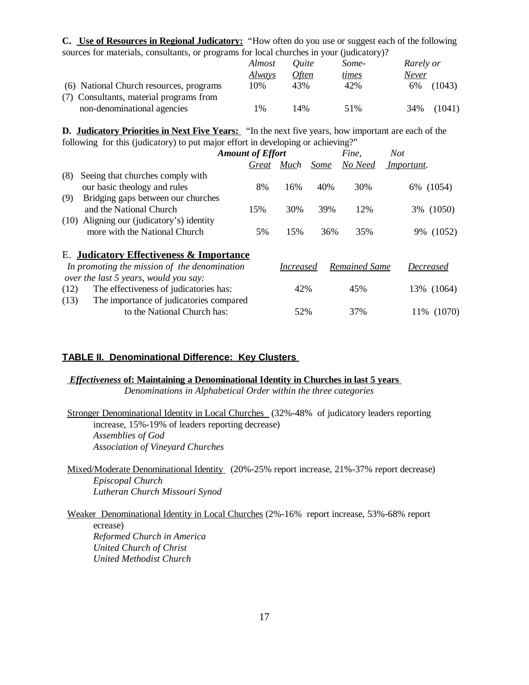**C. Use of Resources in Regional Judicatory:** "How often do you use or suggest each of the following sources for materials, consultants, or programs for local churches in your (judicatory)?

|                                         | Almost        | <i><u>Ouite</u></i> | Some- | Rarely or     |
|-----------------------------------------|---------------|---------------------|-------|---------------|
|                                         | <u>Always</u> | Often               | times | Never         |
| (6) National Church resources, programs | 10%           | 43%                 | 42%   | (1043)<br>6%  |
| (7) Consultants, material programs from |               |                     |       |               |
| non-denominational agencies             | $\frac{0}{6}$ | 14%                 | 51%   | (1041)<br>34% |

**D. Judicatory Priorities in Next Five Years:** "In the next five years, how important are each of the following for this (judicatory) to put major effort in developing or achieving?"

|        | Not               | Fine,         |             |                  |       | <b>Amount of Effort</b>                         |
|--------|-------------------|---------------|-------------|------------------|-------|-------------------------------------------------|
|        | <i>Important.</i> | No Need       | <b>Some</b> | Much             | Great |                                                 |
|        |                   |               |             |                  |       | (8)<br>Seeing that churches comply with         |
| (1054) | 6%                | 30%           | 40%         | 16%              | 8%    | our basic theology and rules                    |
|        |                   |               |             |                  |       | Bridging gaps between our churches<br>(9)       |
|        | 3% (1050)         | 12%           | 39%         | 30%              | 15%   | and the National Church                         |
|        |                   |               |             |                  |       | (10) Aligning our (judicatory's) identity       |
| (1052) | 9%                | 35%           | 36%         | 15%              | 5%    | more with the National Church                   |
|        |                   |               |             |                  |       | E. Judicatory Effectiveness & Importance        |
|        | Decreased         | Remained Same |             | <i>Increased</i> |       | In promoting the mission of the denomination    |
|        |                   |               |             |                  |       | over the last 5 years, would you say:           |
|        | 13% (1064)        | 45%           |             | 42%              |       | The effectiveness of judicatories has:<br>(12)  |
|        |                   |               |             |                  |       | The importance of judicatories compared<br>(13) |
|        | 11% (1070)        | 37%           |             | 52%              |       | to the National Church has:                     |
|        |                   |               |             |                  |       |                                                 |

## **TABLE II. Denominational Difference: Key Clusters**

## *Effectiveness* **of: Maintaining a Denominational Identity in Churches in last 5 years**

*Denominations in Alphabetical Order within the three categories*

 Stronger Denominational Identity in Local Churches (32%-48% of judicatory leaders reporting increase, 15%-19% of leaders reporting decrease) *Assemblies of God Association of Vineyard Churches*

 Mixed/Moderate Denominational Identity (20%-25% report increase, 21%-37% report decrease) *Episcopal Church Lutheran Church Missouri Synod*

Weaker Denominational Identity in Local Churches (2%-16% report increase, 53%-68% report

ecrease) *Reformed Church in America United Church of Christ United Methodist Church*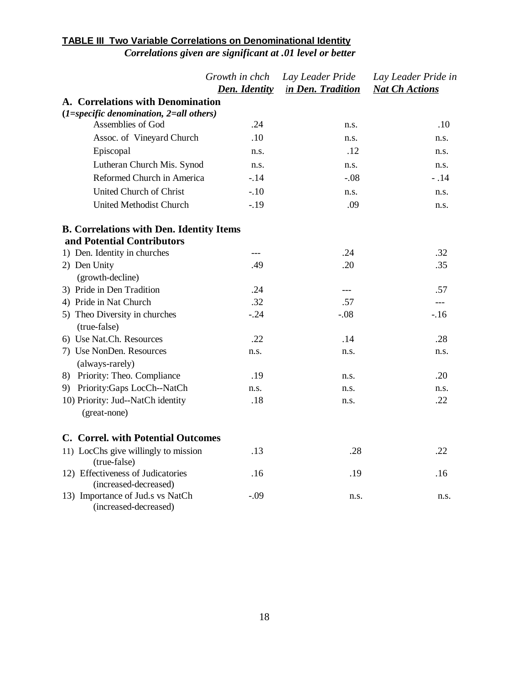## **TABLE III Two Variable Correlations on Denominational Identity** *Correlations given are significant at .01 level or better*

|                                                            | Growth in chch<br><b>Den. Identity</b> | Lay Leader Pride<br>in Den. Tradition | Lay Leader Pride in<br><b>Nat Ch Actions</b> |
|------------------------------------------------------------|----------------------------------------|---------------------------------------|----------------------------------------------|
| A. Correlations with Denomination                          |                                        |                                       |                                              |
| $(1 = specific\ denominator, 2 = all\ others)$             |                                        |                                       |                                              |
| Assemblies of God                                          | .24                                    | n.s.                                  | .10                                          |
| Assoc. of Vineyard Church                                  | .10                                    | n.s.                                  | n.s.                                         |
| Episcopal                                                  | n.s.                                   | .12                                   | n.s.                                         |
| Lutheran Church Mis. Synod                                 | n.s.                                   | n.s.                                  | n.s.                                         |
| Reformed Church in America                                 | $-.14$                                 | $-.08$                                | $-.14$                                       |
| United Church of Christ                                    | $-.10$                                 | n.s.                                  | n.s.                                         |
| United Methodist Church                                    | $-.19$                                 | .09                                   | n.s.                                         |
| <b>B. Correlations with Den. Identity Items</b>            |                                        |                                       |                                              |
| and Potential Contributors                                 |                                        |                                       |                                              |
| 1) Den. Identity in churches                               | ---                                    | .24                                   | .32                                          |
| 2) Den Unity                                               | .49                                    | .20                                   | .35                                          |
| (growth-decline)                                           |                                        |                                       |                                              |
| 3) Pride in Den Tradition                                  | .24                                    | $---$                                 | .57                                          |
| 4) Pride in Nat Church                                     | .32                                    | .57                                   | $\cdots$                                     |
| 5) Theo Diversity in churches<br>(true-false)              | $-.24$                                 | $-.08$                                | $-16$                                        |
| 6) Use Nat.Ch. Resources                                   | .22                                    | .14                                   | .28                                          |
| 7) Use NonDen. Resources<br>(always-rarely)                | n.s.                                   | n.s.                                  | n.s.                                         |
| 8) Priority: Theo. Compliance                              | .19                                    | n.s.                                  | .20                                          |
| 9) Priority:Gaps LocCh--NatCh                              | n.s.                                   | n.s.                                  | n.s.                                         |
| 10) Priority: Jud--NatCh identity                          | .18                                    | n.s.                                  | .22                                          |
| (great-none)                                               |                                        |                                       |                                              |
| C. Correl. with Potential Outcomes                         |                                        |                                       |                                              |
| 11) LocChs give willingly to mission<br>(true-false)       | .13                                    | .28                                   | .22                                          |
| 12) Effectiveness of Judicatories<br>(increased-decreased) | .16                                    | .19                                   | .16                                          |
| 13) Importance of Jud.s vs NatCh<br>(increased-decreased)  | $-.09$                                 | n.s.                                  | n.s.                                         |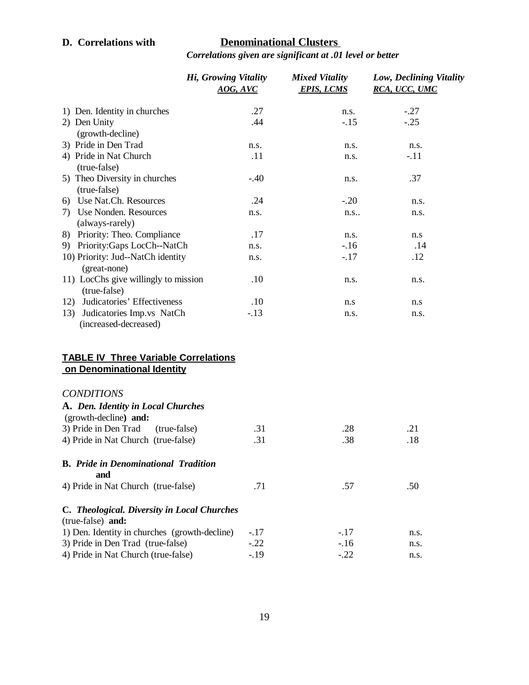# **D. Correlations with Denominational Clusters**

*Correlations given are significant at .01 level or better*

|                                                                           | Hi, Growing Vitality<br>AOG, AVC | <b>Mixed Vitality</b><br><b>EPIS, LCMS</b> | Low, Declining Vitality<br>RCA, UCC, UMC |
|---------------------------------------------------------------------------|----------------------------------|--------------------------------------------|------------------------------------------|
| 1) Den. Identity in churches                                              | .27                              | n.s.                                       | $-.27$                                   |
| 2) Den Unity                                                              | .44                              | $-.15$                                     | $-.25$                                   |
| (growth-decline)                                                          |                                  |                                            |                                          |
| 3) Pride in Den Trad                                                      | n.s.                             | n.s.                                       | n.s.                                     |
| 4) Pride in Nat Church                                                    | .11                              | n.s.                                       | $-.11$                                   |
| (true-false)                                                              |                                  |                                            |                                          |
| 5) Theo Diversity in churches<br>(true-false)                             | $-.40$                           | n.s.                                       | .37                                      |
| 6) Use Nat.Ch. Resources                                                  | .24                              | $-.20$                                     | n.s.                                     |
| 7) Use Nonden. Resources                                                  | n.s.                             | n.s.                                       | n.s.                                     |
| (always-rarely)                                                           |                                  |                                            |                                          |
| 8) Priority: Theo. Compliance                                             | .17                              | n.s.                                       | n.s                                      |
| 9) Priority:Gaps LocCh--NatCh                                             | n.s.                             | $-16$                                      | .14                                      |
| 10) Priority: Jud--NatCh identity<br>(great-none)                         | n.s.                             | $-.17$                                     | .12                                      |
| 11) LocChs give willingly to mission<br>(true-false)                      | .10                              | n.s.                                       | n.s.                                     |
| Judicatories' Effectiveness<br>12)                                        | .10                              | n.s                                        | n.s                                      |
| Judicatories Imp.vs NatCh<br>13)                                          | $-.13$                           | n.s.                                       | n.s.                                     |
| (increased-decreased)                                                     |                                  |                                            |                                          |
| <b>TABLE IV Three Variable Correlations</b><br>on Denominational Identity |                                  |                                            |                                          |
| <b>CONDITIONS</b>                                                         |                                  |                                            |                                          |
| A. Den. Identity in Local Churches<br>(growth-decline) and:               |                                  |                                            |                                          |
| 3) Pride in Den Trad<br>(true-false)                                      | .31                              | .28                                        | .21                                      |
| 4) Pride in Nat Church (true-false)                                       | .31                              | .38                                        | .18                                      |
| <b>B.</b> Pride in Denominational Tradition<br>and                        |                                  |                                            |                                          |
| 4) Pride in Nat Church (true-false)                                       | .71                              | .57                                        | .50                                      |
| C. Theological. Diversity in Local Churches<br>(true-false) and:          |                                  |                                            |                                          |
| 1) Den. Identity in churches (growth-decline)                             | $-.17$                           | $-.17$                                     | n.s.                                     |
| 3) Pride in Den Trad (true-false)                                         | $-.22$                           | $-.16$                                     | n.s.                                     |
| 4) Pride in Nat Church (true-false)                                       | $-.19$                           | $-.22$                                     | n.s.                                     |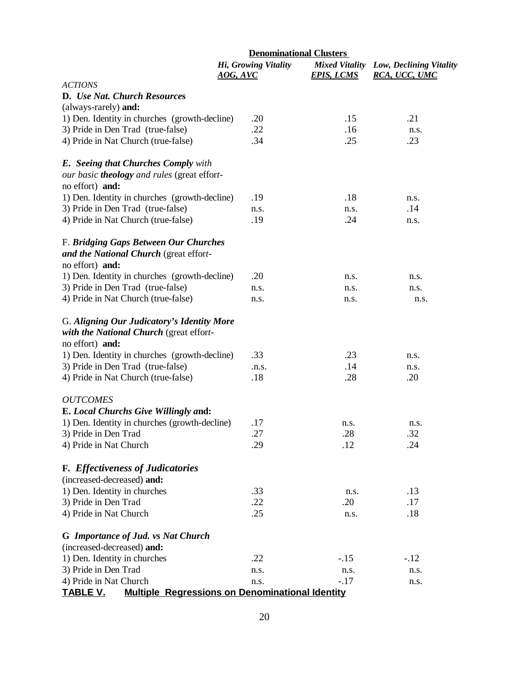|                                                                                                          | <b>Denominational Clusters</b>          |                                            |                                          |  |
|----------------------------------------------------------------------------------------------------------|-----------------------------------------|--------------------------------------------|------------------------------------------|--|
|                                                                                                          | Hi, Growing Vitality<br><u>AOG, AVC</u> | <b>Mixed Vitality</b><br><b>EPIS, LCMS</b> | Low, Declining Vitality<br>RCA, UCC, UMC |  |
| <b>ACTIONS</b>                                                                                           |                                         |                                            |                                          |  |
| D. Use Nat. Church Resources                                                                             |                                         |                                            |                                          |  |
| (always-rarely) and:                                                                                     |                                         |                                            |                                          |  |
| 1) Den. Identity in churches (growth-decline)                                                            | .20                                     | .15                                        | .21                                      |  |
| 3) Pride in Den Trad (true-false)                                                                        | .22                                     | .16                                        | n.s.                                     |  |
| 4) Pride in Nat Church (true-false)                                                                      | .34                                     | .25                                        | .23                                      |  |
| <b>E.</b> Seeing that Churches Comply with<br>our basic theology and rules (great effort-                |                                         |                                            |                                          |  |
| no effort) and:                                                                                          |                                         |                                            |                                          |  |
| 1) Den. Identity in churches (growth-decline)                                                            | .19                                     | .18                                        | n.s.                                     |  |
| 3) Pride in Den Trad (true-false)                                                                        | n.s.                                    | n.s.                                       | .14                                      |  |
| 4) Pride in Nat Church (true-false)                                                                      | .19                                     | .24                                        | n.s.                                     |  |
| F. Bridging Gaps Between Our Churches<br>and the National Church (great effort-<br>no effort) and:       |                                         |                                            |                                          |  |
| 1) Den. Identity in churches (growth-decline)                                                            | .20                                     | n.s.                                       | n.s.                                     |  |
| 3) Pride in Den Trad (true-false)                                                                        | n.s.                                    | n.s.                                       | n.s.                                     |  |
| 4) Pride in Nat Church (true-false)                                                                      | n.s.                                    | n.s.                                       | n.s.                                     |  |
| G. Aligning Our Judicatory's Identity More<br>with the National Church (great effort-<br>no effort) and: |                                         |                                            |                                          |  |
| 1) Den. Identity in churches (growth-decline)                                                            | .33                                     | .23                                        | n.s.                                     |  |
| 3) Pride in Den Trad (true-false)                                                                        | .n.s.                                   | .14                                        | n.s.                                     |  |
| 4) Pride in Nat Church (true-false)                                                                      | .18                                     | .28                                        | .20                                      |  |
| <b>OUTCOMES</b>                                                                                          |                                         |                                            |                                          |  |
| E. Local Churchs Give Willingly and:                                                                     |                                         |                                            |                                          |  |
| 1) Den. Identity in churches (growth-decline)                                                            | .17                                     | n.s.                                       | n.s.                                     |  |
| 3) Pride in Den Trad                                                                                     | .27                                     | .28                                        | .32                                      |  |
| 4) Pride in Nat Church                                                                                   | .29                                     | .12                                        | .24                                      |  |
| <b>F.</b> Effectiveness of Judicatories                                                                  |                                         |                                            |                                          |  |
| (increased-decreased) and:                                                                               |                                         |                                            |                                          |  |
| 1) Den. Identity in churches                                                                             | .33                                     | n.s.                                       | .13                                      |  |
| 3) Pride in Den Trad                                                                                     | .22                                     | .20                                        | .17                                      |  |
| 4) Pride in Nat Church                                                                                   | .25                                     | n.s.                                       | .18                                      |  |
| G Importance of Jud. vs Nat Church                                                                       |                                         |                                            |                                          |  |
| (increased-decreased) and:                                                                               |                                         |                                            |                                          |  |
| 1) Den. Identity in churches                                                                             | .22                                     | $-.15$                                     | $-.12$                                   |  |
| 3) Pride in Den Trad                                                                                     | n.s.                                    | n.s.                                       | n.s.                                     |  |
| 4) Pride in Nat Church                                                                                   | n.s.                                    | $-.17$                                     | n.s.                                     |  |
| TABLE V.<br><b>Multiple Regressions on Denominational Identity</b>                                       |                                         |                                            |                                          |  |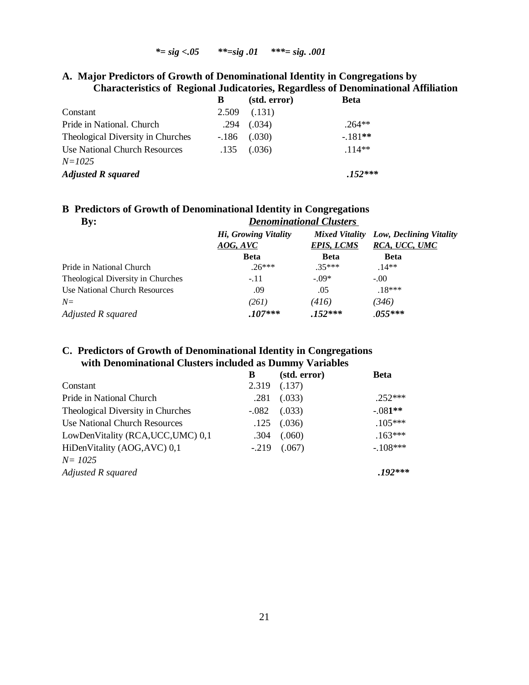## *\*= sig <.05 \*\*=sig .01 \*\*\*= sig. .001*

## **A. Major Predictors of Growth of Denominational Identity in Congregations by Characteristics of Regional Judicatories, Regardless of Denominational Affiliation**

|                                   | В      | (std. error) | <b>Beta</b> |
|-----------------------------------|--------|--------------|-------------|
| Constant                          | 2.509  | (.131)       |             |
| Pride in National. Church         | .294   | (.034)       | $.264**$    |
| Theological Diversity in Churches | $-186$ | (.030)       | $-.181**$   |
| Use National Church Resources     | .135   | (.036)       | $114**$     |
| $N = 1025$                        |        |              |             |
| <b>Adjusted R squared</b>         |        |              | $.152***$   |

## **B Predictors of Growth of Denominational Identity in Congregations**

| $\mathbf{B}\mathbf{y}$ :          | <b>Denominational Clusters</b>   |                   |                                                         |
|-----------------------------------|----------------------------------|-------------------|---------------------------------------------------------|
|                                   | Hi, Growing Vitality<br>AOG, AVC | <b>EPIS, LCMS</b> | Mixed Vitality Low, Declining Vitality<br>RCA, UCC, UMC |
|                                   | <b>Beta</b>                      | <b>Beta</b>       | <b>Beta</b>                                             |
| Pride in National Church          | $.26***$                         | $.35***$          | $.14**$                                                 |
| Theological Diversity in Churches | $-.11$                           | $-.09*$           | $-.00.$                                                 |
| Use National Church Resources     | .09                              | .05               | $.18***$                                                |
| $N=$                              | (261)                            | (416)             | (346)                                                   |
| Adjusted R squared                | $.107***$                        | $.152***$         | $.055***$                                               |

## **C. Predictors of Growth of Denominational Identity in Congregations with Denominational Clusters included as Dummy Variables**

|                                    | B       | (std. error)     | <b>Beta</b> |
|------------------------------------|---------|------------------|-------------|
| Constant                           | 2.319   | (.137)           |             |
| Pride in National Church           | .281    | (.033)           | $.252***$   |
| Theological Diversity in Churches  | $-.082$ | (.033)           | $-.081**$   |
| Use National Church Resources      | .125    | (.036)           | $.105***$   |
| LowDenVitality (RCA, UCC, UMC) 0,1 | .304    | (.060)           | $.163***$   |
| HiDenVitality (AOG, AVC) 0,1       |         | $-.219$ $(.067)$ | $-.108***$  |
| $N = 1025$                         |         |                  |             |
| Adjusted R squared                 |         |                  | $.192***$   |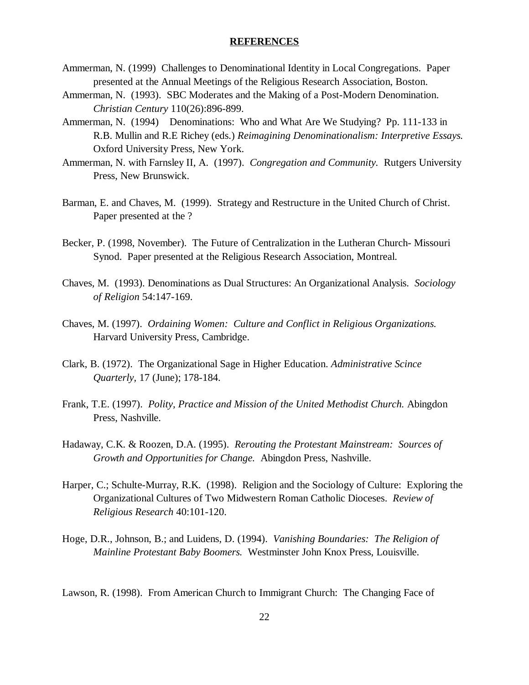## **REFERENCES**

- Ammerman, N. (1999) Challenges to Denominational Identity in Local Congregations. Paper presented at the Annual Meetings of the Religious Research Association, Boston.
- Ammerman, N. (1993). SBC Moderates and the Making of a Post-Modern Denomination. *Christian Century* 110(26):896-899.
- Ammerman, N. (1994) Denominations: Who and What Are We Studying? Pp. 111-133 in R.B. Mullin and R.E Richey (eds.) *Reimagining Denominationalism: Interpretive Essays.*  Oxford University Press, New York.
- Ammerman, N. with Farnsley II, A. (1997). *Congregation and Community.* Rutgers University Press, New Brunswick.
- Barman, E. and Chaves, M. (1999). Strategy and Restructure in the United Church of Christ. Paper presented at the ?
- Becker, P. (1998, November). The Future of Centralization in the Lutheran Church- Missouri Synod. Paper presented at the Religious Research Association, Montreal.
- Chaves, M. (1993). Denominations as Dual Structures: An Organizational Analysis. *Sociology of Religion* 54:147-169.
- Chaves, M. (1997). *Ordaining Women: Culture and Conflict in Religious Organizations.* Harvard University Press, Cambridge.
- Clark, B. (1972). The Organizational Sage in Higher Education. *Administrative Scince Quarterly,* 17 (June); 178-184.
- Frank, T.E. (1997). *Polity, Practice and Mission of the United Methodist Church.* Abingdon Press, Nashville.
- Hadaway, C.K. & Roozen, D.A. (1995). *Rerouting the Protestant Mainstream: Sources of Growth and Opportunities for Change.* Abingdon Press, Nashville.
- Harper, C.; Schulte-Murray, R.K. (1998). Religion and the Sociology of Culture: Exploring the Organizational Cultures of Two Midwestern Roman Catholic Dioceses. *Review of Religious Research* 40:101-120.
- Hoge, D.R., Johnson, B.; and Luidens, D. (1994). *Vanishing Boundaries: The Religion of Mainline Protestant Baby Boomers.* Westminster John Knox Press, Louisville.

Lawson, R. (1998). From American Church to Immigrant Church: The Changing Face of